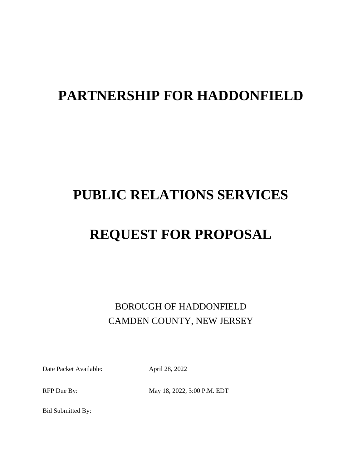# **PARTNERSHIP FOR HADDONFIELD**

# **PUBLIC RELATIONS SERVICES**

# **REQUEST FOR PROPOSAL**

# BOROUGH OF HADDONFIELD CAMDEN COUNTY, NEW JERSEY

Date Packet Available: April 28, 2022

RFP Due By: May 18, 2022, 3:00 P.M. EDT

Bid Submitted By: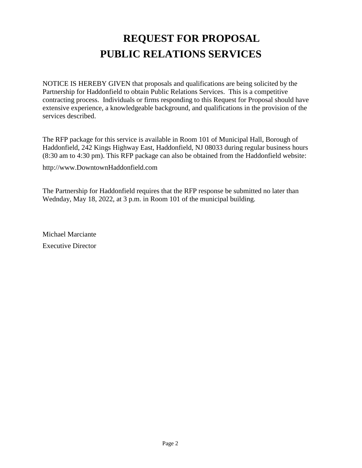# **REQUEST FOR PROPOSAL PUBLIC RELATIONS SERVICES**

NOTICE IS HEREBY GIVEN that proposals and qualifications are being solicited by the Partnership for Haddonfield to obtain Public Relations Services. This is a competitive contracting process. Individuals or firms responding to this Request for Proposal should have extensive experience, a knowledgeable background, and qualifications in the provision of the services described.

The RFP package for this service is available in Room 101 of Municipal Hall, Borough of Haddonfield, 242 Kings Highway East, Haddonfield, NJ 08033 during regular business hours (8:30 am to 4:30 pm). This RFP package can also be obtained from the Haddonfield website:

http://www.DowntownHaddonfield.com

The Partnership for Haddonfield requires that the RFP response be submitted no later than Wednday, May 18, 2022, at 3 p.m. in Room 101 of the municipal building.

Michael Marciante Executive Director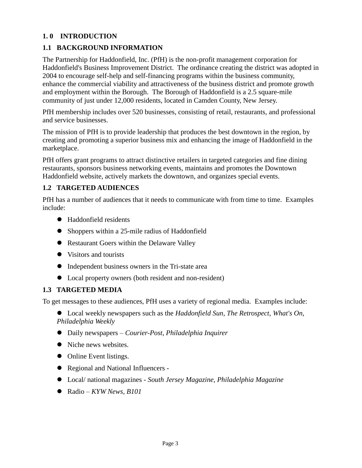## **1. 0 INTRODUCTION**

# **1.1 BACKGROUND INFORMATION**

The Partnership for Haddonfield, Inc. (PfH) is the non-profit management corporation for Haddonfield's Business Improvement District. The ordinance creating the district was adopted in 2004 to encourage self-help and self-financing programs within the business community, enhance the commercial viability and attractiveness of the business district and promote growth and employment within the Borough. The Borough of Haddonfield is a 2.5 square-mile community of just under 12,000 residents, located in Camden County, New Jersey.

PfH membership includes over 520 businesses, consisting of retail, restaurants, and professional and service businesses.

The mission of PfH is to provide leadership that produces the best downtown in the region, by creating and promoting a superior business mix and enhancing the image of Haddonfield in the marketplace.

PfH offers grant programs to attract distinctive retailers in targeted categories and fine dining restaurants, sponsors business networking events, maintains and promotes the Downtown Haddonfield website, actively markets the downtown, and organizes special events.

# **1.2 TARGETED AUDIENCES**

PfH has a number of audiences that it needs to communicate with from time to time. Examples include:

- ⚫ Haddonfield residents
- ⚫ Shoppers within a 25-mile radius of Haddonfield
- Restaurant Goers within the Delaware Valley
- ⚫ Visitors and tourists
- ⚫ Independent business owners in the Tri-state area
- ⚫ Local property owners (both resident and non-resident)

### **1.3 TARGETED MEDIA**

To get messages to these audiences, PfH uses a variety of regional media. Examples include:

⚫ Local weekly newspapers such as the *Haddonfield Sun*, *The Retrospect*, *What's On, Philadelphia Weekly*

- ⚫ Daily newspapers *Courier-Post*, *Philadelphia Inquirer*
- ⚫ Niche news websites.
- Online Event listings.
- Regional and National Influencers -
- ⚫ Local/ national magazines *South Jersey Magazine*, *Philadelphia Magazine*
- ⚫ Radio *KYW News, B101*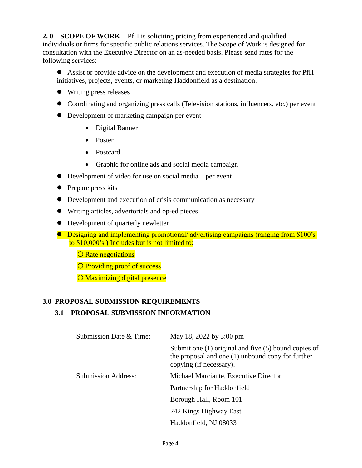**2. 0 SCOPE OF WORK** PfH is soliciting pricing from experienced and qualified individuals or firms for specific public relations services. The Scope of Work is designed for consultation with the Executive Director on an as-needed basis. Please send rates for the following services:

⚫ Assist or provide advice on the development and execution of media strategies for PfH initiatives, projects, events, or marketing Haddonfield as a destination.

- ⚫ Writing press releases
- Coordinating and organizing press calls (Television stations, influencers, etc.) per event
- ⚫ Development of marketing campaign per event
	- Digital Banner
	- Poster
	- Postcard
	- Graphic for online ads and social media campaign
- ⚫ Development of video for use on social media per event
- Prepare press kits
- ⚫ Development and execution of crisis communication as necessary
- ⚫ Writing articles, advertorials and op-ed pieces
- Development of quarterly newletter
- Designing and implementing promotional/ advertising campaigns (ranging from \$100's to \$10,000's.) Includes but is not limited to:
	- O Rate negotiations
	- O Providing proof of success
	- O Maximizing digital presence

### **3.0 PROPOSAL SUBMISSION REQUIREMENTS**

### **3.1 PROPOSAL SUBMISSION INFORMATION**

| Submission Date & Time:    | May 18, 2022 by 3:00 pm                                                                                                                    |  |
|----------------------------|--------------------------------------------------------------------------------------------------------------------------------------------|--|
|                            | Submit one $(1)$ original and five $(5)$ bound copies of<br>the proposal and one $(1)$ unbound copy for further<br>copying (if necessary). |  |
| <b>Submission Address:</b> | Michael Marciante, Executive Director                                                                                                      |  |
|                            | Partnership for Haddonfield                                                                                                                |  |
|                            | Borough Hall, Room 101                                                                                                                     |  |
|                            | 242 Kings Highway East                                                                                                                     |  |
|                            | Haddonfield, NJ 08033                                                                                                                      |  |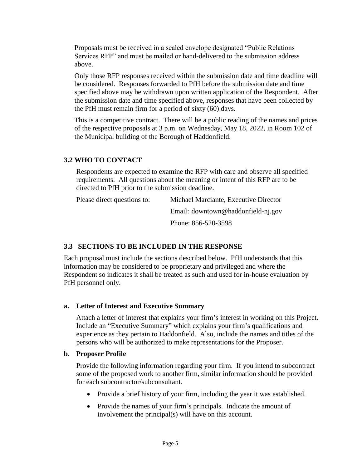Proposals must be received in a sealed envelope designated "Public Relations Services RFP" and must be mailed or hand-delivered to the submission address above.

Only those RFP responses received within the submission date and time deadline will be considered. Responses forwarded to PfH before the submission date and time specified above may be withdrawn upon written application of the Respondent. After the submission date and time specified above, responses that have been collected by the PfH must remain firm for a period of sixty (60) days.

This is a competitive contract. There will be a public reading of the names and prices of the respective proposals at 3 p.m. on Wednesday, May 18, 2022, in Room 102 of the Municipal building of the Borough of Haddonfield.

#### **3.2 WHO TO CONTACT**

Respondents are expected to examine the RFP with care and observe all specified requirements. All questions about the meaning or intent of this RFP are to be directed to PfH prior to the submission deadline.

| Please direct questions to: | Michael Marciante, Executive Director |
|-----------------------------|---------------------------------------|
|                             | Email: downtown@haddonfield-nj.gov    |
|                             | Phone: 856-520-3598                   |

#### **3.3 SECTIONS TO BE INCLUDED IN THE RESPONSE**

Each proposal must include the sections described below. PfH understands that this information may be considered to be proprietary and privileged and where the Respondent so indicates it shall be treated as such and used for in-house evaluation by PfH personnel only.

#### **a. Letter of Interest and Executive Summary**

Attach a letter of interest that explains your firm's interest in working on this Project. Include an "Executive Summary" which explains your firm's qualifications and experience as they pertain to Haddonfield. Also, include the names and titles of the persons who will be authorized to make representations for the Proposer.

#### **b. Proposer Profile**

Provide the following information regarding your firm. If you intend to subcontract some of the proposed work to another firm, similar information should be provided for each subcontractor/subconsultant.

- Provide a brief history of your firm, including the year it was established.
- Provide the names of your firm's principals. Indicate the amount of involvement the principal(s) will have on this account.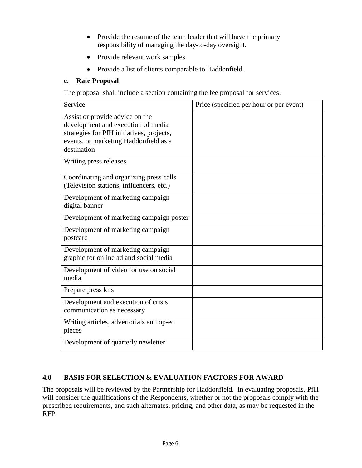- Provide the resume of the team leader that will have the primary responsibility of managing the day-to-day oversight.
- Provide relevant work samples.
- Provide a list of clients comparable to Haddonfield.

#### **c. Rate Proposal**

The proposal shall include a section containing the fee proposal for services.

| Service                                                                                                                                                                    | Price (specified per hour or per event) |
|----------------------------------------------------------------------------------------------------------------------------------------------------------------------------|-----------------------------------------|
| Assist or provide advice on the<br>development and execution of media<br>strategies for PfH initiatives, projects,<br>events, or marketing Haddonfield as a<br>destination |                                         |
| Writing press releases                                                                                                                                                     |                                         |
| Coordinating and organizing press calls<br>(Television stations, influencers, etc.)                                                                                        |                                         |
| Development of marketing campaign<br>digital banner                                                                                                                        |                                         |
| Development of marketing campaign poster                                                                                                                                   |                                         |
| Development of marketing campaign<br>postcard                                                                                                                              |                                         |
| Development of marketing campaign<br>graphic for online ad and social media                                                                                                |                                         |
| Development of video for use on social<br>media                                                                                                                            |                                         |
| Prepare press kits                                                                                                                                                         |                                         |
| Development and execution of crisis<br>communication as necessary                                                                                                          |                                         |
| Writing articles, advertorials and op-ed<br>pieces                                                                                                                         |                                         |
| Development of quarterly newletter                                                                                                                                         |                                         |

### **4.0 BASIS FOR SELECTION & EVALUATION FACTORS FOR AWARD**

The proposals will be reviewed by the Partnership for Haddonfield. In evaluating proposals, PfH will consider the qualifications of the Respondents, whether or not the proposals comply with the prescribed requirements, and such alternates, pricing, and other data, as may be requested in the RFP.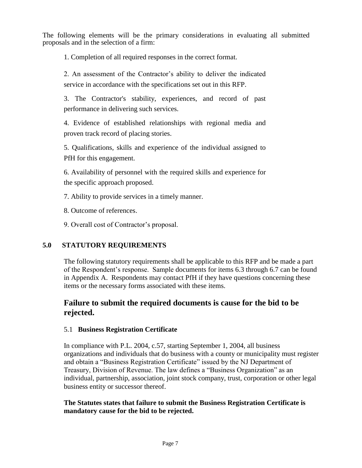The following elements will be the primary considerations in evaluating all submitted proposals and in the selection of a firm:

1. Completion of all required responses in the correct format.

2. An assessment of the Contractor's ability to deliver the indicated service in accordance with the specifications set out in this RFP.

3. The Contractor's stability, experiences, and record of past performance in delivering such services.

4. Evidence of established relationships with regional media and proven track record of placing stories.

5. Qualifications, skills and experience of the individual assigned to PfH for this engagement.

6. Availability of personnel with the required skills and experience for the specific approach proposed.

7. Ability to provide services in a timely manner.

8. Outcome of references.

9. Overall cost of Contractor's proposal.

### **5.0 STATUTORY REQUIREMENTS**

The following statutory requirements shall be applicable to this RFP and be made a part of the Respondent's response. Sample documents for items 6.3 through 6.7 can be found in Appendix A. Respondents may contact PfH if they have questions concerning these items or the necessary forms associated with these items.

# **Failure to submit the required documents is cause for the bid to be rejected.**

### 5.1 **Business Registration Certificate**

In compliance with P.L. 2004, c.57, starting September 1, 2004, all business organizations and individuals that do business with a county or municipality must register and obtain a "Business Registration Certificate" issued by the NJ Department of Treasury, Division of Revenue. The law defines a "Business Organization" as an individual, partnership, association, joint stock company, trust, corporation or other legal business entity or successor thereof.

**The Statutes states that failure to submit the Business Registration Certificate is mandatory cause for the bid to be rejected.**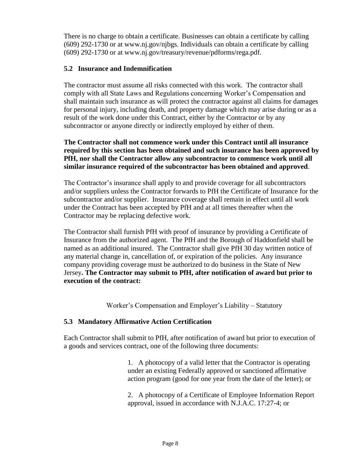There is no charge to obtain a certificate. Businesses can obtain a certificate by calling (609) 292-1730 or at www.nj.gov/njbgs. Individuals can obtain a certificate by calling (609) 292-1730 or at www.nj.gov/treasury/revenue/pdforms/rega.pdf.

## **5.2 Insurance and Indemnification**

The contractor must assume all risks connected with this work. The contractor shall comply with all State Laws and Regulations concerning Worker's Compensation and shall maintain such insurance as will protect the contractor against all claims for damages for personal injury, including death, and property damage which may arise during or as a result of the work done under this Contract, either by the Contractor or by any subcontractor or anyone directly or indirectly employed by either of them.

**The Contractor shall not commence work under this Contract until all insurance required by this section has been obtained and such insurance has been approved by PfH, nor shall the Contractor allow any subcontractor to commence work until all similar insurance required of the subcontractor has been obtained and approved**.

The Contractor's insurance shall apply to and provide coverage for all subcontractors and/or suppliers unless the Contractor forwards to PfH the Certificate of Insurance for the subcontractor and/or supplier. Insurance coverage shall remain in effect until all work under the Contract has been accepted by PfH and at all times thereafter when the Contractor may be replacing defective work.

The Contractor shall furnish PfH with proof of insurance by providing a Certificate of Insurance from the authorized agent. The PfH and the Borough of Haddonfield shall be named as an additional insured. The Contractor shall give PfH 30 day written notice of any material change in, cancellation of, or expiration of the policies. Any insurance company providing coverage must be authorized to do business in the State of New Jersey**. The Contractor may submit to PfH, after notification of award but prior to execution of the contract:** 

Worker's Compensation and Employer's Liability – Statutory

# **5.3 Mandatory Affirmative Action Certification**

Each Contractor shall submit to PfH, after notification of award but prior to execution of a goods and services contract, one of the following three documents:

> 1. A photocopy of a valid letter that the Contractor is operating under an existing Federally approved or sanctioned affirmative action program (good for one year from the date of the letter); or

2. A photocopy of a Certificate of Employee Information Report approval, issued in accordance with N.J.A.C. 17:27-4; or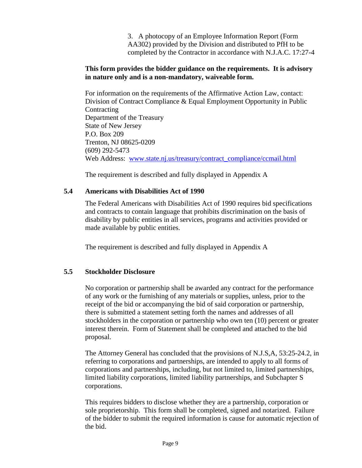3. A photocopy of an Employee Information Report (Form AA302) provided by the Division and distributed to PfH to be completed by the Contractor in accordance with N.J.A.C. 17:27-4

#### **This form provides the bidder guidance on the requirements. It is advisory in nature only and is a non-mandatory, waiveable form.**

For information on the requirements of the Affirmative Action Law, contact: Division of Contract Compliance & Equal Employment Opportunity in Public **Contracting** Department of the Treasury State of New Jersey P.O. Box 209 Trenton, NJ 08625-0209 (609) 292-5473 Web Address: [www.state.nj.us/treasury/contract\\_compliance/ccmail.html](http://www.state.nj.us/treasury/contract_compliance/ccmail.html)

The requirement is described and fully displayed in Appendix A

### **5.4 Americans with Disabilities Act of 1990**

The Federal Americans with Disabilities Act of 1990 requires bid specifications and contracts to contain language that prohibits discrimination on the basis of disability by public entities in all services, programs and activities provided or made available by public entities.

The requirement is described and fully displayed in Appendix A

### **5.5 Stockholder Disclosure**

No corporation or partnership shall be awarded any contract for the performance of any work or the furnishing of any materials or supplies, unless, prior to the receipt of the bid or accompanying the bid of said corporation or partnership, there is submitted a statement setting forth the names and addresses of all stockholders in the corporation or partnership who own ten (10) percent or greater interest therein. Form of Statement shall be completed and attached to the bid proposal.

The Attorney General has concluded that the provisions of N.J.S,A, 53:25-24.2, in referring to corporations and partnerships, are intended to apply to all forms of corporations and partnerships, including, but not limited to, limited partnerships, limited liability corporations, limited liability partnerships, and Subchapter S corporations.

This requires bidders to disclose whether they are a partnership, corporation or sole proprietorship. This form shall be completed, signed and notarized. Failure of the bidder to submit the required information is cause for automatic rejection of the bid.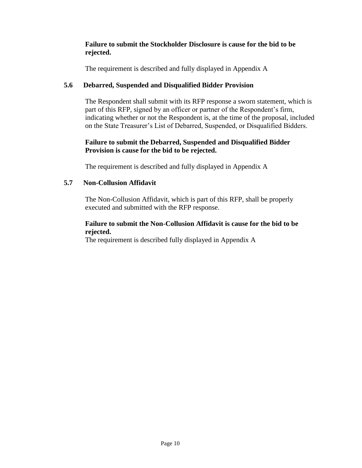## **Failure to submit the Stockholder Disclosure is cause for the bid to be rejected.**

The requirement is described and fully displayed in Appendix A

# **5.6 Debarred, Suspended and Disqualified Bidder Provision**

The Respondent shall submit with its RFP response a sworn statement, which is part of this RFP, signed by an officer or partner of the Respondent's firm, indicating whether or not the Respondent is, at the time of the proposal, included on the State Treasurer's List of Debarred, Suspended, or Disqualified Bidders.

## **Failure to submit the Debarred, Suspended and Disqualified Bidder Provision is cause for the bid to be rejected.**

The requirement is described and fully displayed in Appendix A

# **5.7 Non-Collusion Affidavit**

The Non-Collusion Affidavit, which is part of this RFP, shall be properly executed and submitted with the RFP response.

#### **Failure to submit the Non-Collusion Affidavit is cause for the bid to be rejected.**

The requirement is described fully displayed in Appendix A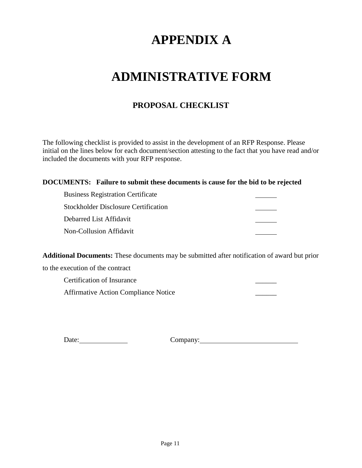# **APPENDIX A**

# **ADMINISTRATIVE FORM**

# **PROPOSAL CHECKLIST**

The following checklist is provided to assist in the development of an RFP Response. Please initial on the lines below for each document/section attesting to the fact that you have read and/or included the documents with your RFP response.

#### **DOCUMENTS: Failure to submit these documents is cause for the bid to be rejected**

| <b>Business Registration Certificate</b>    |  |
|---------------------------------------------|--|
| <b>Stockholder Disclosure Certification</b> |  |
| Debarred List Affidavit                     |  |
| Non-Collusion Affidavit                     |  |

**Additional Documents:** These documents may be submitted after notification of award but prior

to the execution of the contract

 Certification of Insurance \_\_\_\_\_\_ Affirmative Action Compliance Notice

Date: Company: Company: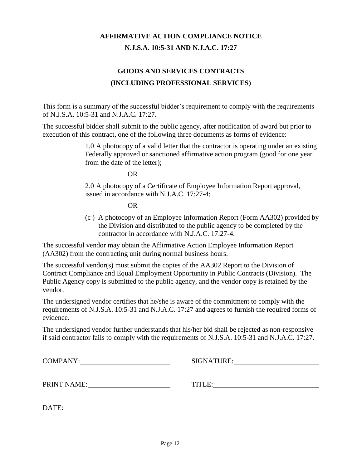# **AFFIRMATIVE ACTION COMPLIANCE NOTICE N.J.S.A. 10:5-31 AND N.J.A.C. 17:27**

# **GOODS AND SERVICES CONTRACTS (INCLUDING PROFESSIONAL SERVICES)**

This form is a summary of the successful bidder's requirement to comply with the requirements of N.J.S.A. 10:5-31 and N.J.A.C. 17:27.

The successful bidder shall submit to the public agency, after notification of award but prior to execution of this contract, one of the following three documents as forms of evidence:

> 1.0 A photocopy of a valid letter that the contractor is operating under an existing Federally approved or sanctioned affirmative action program (good for one year from the date of the letter);

> > OR

2.0 A photocopy of a Certificate of Employee Information Report approval, issued in accordance with N.J.A.C. 17:27-4;

OR

(c ) A photocopy of an Employee Information Report (Form AA302) provided by the Division and distributed to the public agency to be completed by the contractor in accordance with N.J.A.C. 17:27-4.

The successful vendor may obtain the Affirmative Action Employee Information Report (AA302) from the contracting unit during normal business hours.

The successful vendor(s) must submit the copies of the AA302 Report to the Division of Contract Compliance and Equal Employment Opportunity in Public Contracts (Division). The Public Agency copy is submitted to the public agency, and the vendor copy is retained by the vendor.

The undersigned vendor certifies that he/she is aware of the commitment to comply with the requirements of N.J.S.A. 10:5-31 and N.J.A.C. 17:27 and agrees to furnish the required forms of evidence.

The undersigned vendor further understands that his/her bid shall be rejected as non-responsive if said contractor fails to comply with the requirements of N.J.S.A. 10:5-31 and N.J.A.C. 17:27.

COMPANY: SIGNATURE:

| <b>PRINT NAME:</b> | TITLE: |
|--------------------|--------|
|--------------------|--------|

| TI E.<br>.ILC: |  |  |  |
|----------------|--|--|--|
|                |  |  |  |

| T.<br>$\ddot{\phantom{a}}$<br>--<br>- |  |
|---------------------------------------|--|
|                                       |  |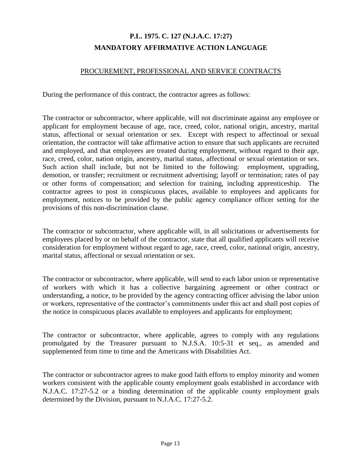# **P.L. 1975. C. 127 (N.J.A.C. 17:27) MANDATORY AFFIRMATIVE ACTION LANGUAGE**

#### PROCUREMENT, PROFESSIONAL AND SERVICE CONTRACTS

During the performance of this contract, the contractor agrees as follows:

The contractor or subcontractor, where applicable, will not discriminate against any employee or applicant for employment because of age, race, creed, color, national origin, ancestry, marital status, affectional or sexual orientation or sex. Except with respect to affectinoal or sexual orientation, the contractor will take affirmative action to ensure that such applicants are recruited and employed, and that employees are treated during employment, without regard to their age, race, creed, color, nation origin, ancestry, marital status, affectional or sexual orientation or sex. Such action shall include, but not be limited to the following: employment, upgrading, demotion, or transfer; recruitment or recruitment advertising; layoff or termination; rates of pay or other forms of compensation; and selection for training, including apprenticeship. The contractor agrees to post in conspicuous places, available to employees and applicants for employment, notices to be provided by the public agency compliance officer setting for the provisions of this non-discrimination clause.

The contractor or subcontractor, where applicable will, in all solicitations or advertisements for employees placed by or on behalf of the contractor, state that all qualified applicants will receive consideration for employment without regard to age, race, creed, color, national origin, ancestry, marital status, affectional or sexual orientation or sex.

The contractor or subcontractor, where applicable, will send to each labor union or representative of workers with which it has a collective bargaining agreement or other contract or understanding, a notice, to be provided by the agency contracting officer advising the labor union or workers, representative of the contractor's commitments under this act and shall post copies of the notice in conspicuous places available to employees and applicants for employment;

The contractor or subcontractor, where applicable, agrees to comply with any regulations promulgated by the Treasurer pursuant to N.J.S.A. 10:5-31 et seq., as amended and supplemented from time to time and the Americans with Disabilities Act.

The contractor or subcontractor agrees to make good faith efforts to employ minority and women workers consistent with the applicable county employment goals established in accordance with N.J.A.C. 17:27-5.2 or a binding determination of the applicable county employment goals determined by the Division, pursuant to N.J.A.C. 17:27-5.2.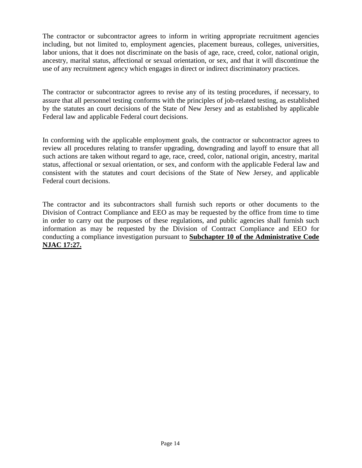The contractor or subcontractor agrees to inform in writing appropriate recruitment agencies including, but not limited to, employment agencies, placement bureaus, colleges, universities, labor unions, that it does not discriminate on the basis of age, race, creed, color, national origin, ancestry, marital status, affectional or sexual orientation, or sex, and that it will discontinue the use of any recruitment agency which engages in direct or indirect discriminatory practices.

The contractor or subcontractor agrees to revise any of its testing procedures, if necessary, to assure that all personnel testing conforms with the principles of job-related testing, as established by the statutes an court decisions of the State of New Jersey and as established by applicable Federal law and applicable Federal court decisions.

In conforming with the applicable employment goals, the contractor or subcontractor agrees to review all procedures relating to transfer upgrading, downgrading and layoff to ensure that all such actions are taken without regard to age, race, creed, color, national origin, ancestry, marital status, affectional or sexual orientation, or sex, and conform with the applicable Federal law and consistent with the statutes and court decisions of the State of New Jersey, and applicable Federal court decisions.

The contractor and its subcontractors shall furnish such reports or other documents to the Division of Contract Compliance and EEO as may be requested by the office from time to time in order to carry out the purposes of these regulations, and public agencies shall furnish such information as may be requested by the Division of Contract Compliance and EEO for conducting a compliance investigation pursuant to **Subchapter 10 of the Administrative Code NJAC 17:27.**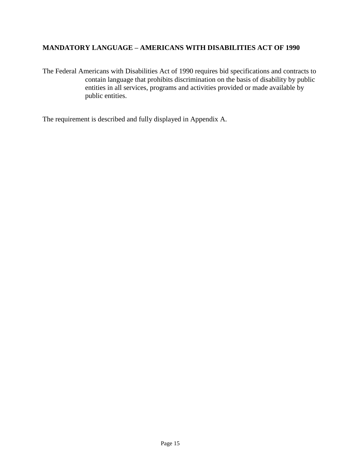## **MANDATORY LANGUAGE – AMERICANS WITH DISABILITIES ACT OF 1990**

The Federal Americans with Disabilities Act of 1990 requires bid specifications and contracts to contain language that prohibits discrimination on the basis of disability by public entities in all services, programs and activities provided or made available by public entities.

The requirement is described and fully displayed in Appendix A.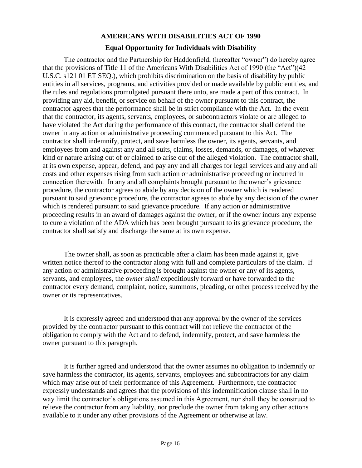### **AMERICANS WITH DISABILITIES ACT OF 1990**

#### **Equal Opportunity for Individuals with Disability**

The contractor and the Partnership for Haddonfield, (hereafter "owner") do hereby agree that the provisions of Title 11 of the Americans With Disabilities Act of 1990 (the "Act")(42 U.S.C. s121 01 ET SEQ.), which prohibits discrimination on the basis of disability by public entities in all services, programs, and activities provided or made available by public entities, and the rules and regulations promulgated pursuant there unto, are made a part of this contract. In providing any aid, benefit, or service on behalf of the owner pursuant to this contract, the contractor agrees that the performance shall be in strict compliance with the Act. In the event that the contractor, its agents, servants, employees, or subcontractors violate or are alleged to have violated the Act during the performance of this contract, the contractor shall defend the owner in any action or administrative proceeding commenced pursuant to this Act. The contractor shall indemnify, protect, and save harmless the owner, its agents, servants, and employees from and against any and all suits, claims, losses, demands, or damages, of whatever kind or nature arising out of or claimed to arise out of the alleged violation. The contractor shall, at its own expense, appear, defend, and pay any and all charges for legal services and any and all costs and other expenses rising from such action or administrative proceeding or incurred in connection therewith. In any and all complaints brought pursuant to the owner's grievance procedure, the contractor agrees to abide by any decision of the owner which is rendered pursuant to said grievance procedure, the contractor agrees to abide by any decision of the owner which is rendered pursuant to said grievance procedure. If any action or administrative proceeding results in an award of damages against the owner, or if the owner incurs any expense to cure a violation of the ADA which has been brought pursuant to its grievance procedure, the contractor shall satisfy and discharge the same at its own expense.

The owner shall, as soon as practicable after a claim has been made against it, give written notice thereof to the contractor along with full and complete particulars of the claim. If any action or administrative proceeding is brought against the owner or any of its agents, servants, and employees, the *owner shall* expeditiously forward or have forwarded to the contractor every demand, complaint, notice, summons, pleading, or other process received by the owner or its representatives.

It is expressly agreed and understood that any approval by the owner of the services provided by the contractor pursuant to this contract will not relieve the contractor of the obligation to comply with the Act and to defend, indemnify, protect, and save harmless the owner pursuant to this paragraph.

It is further agreed and understood that the owner assumes no obligation to indemnify or save harmless the contractor, its agents, servants, employees and subcontractors for any claim which may arise out of their performance of this Agreement. Furthermore, the contractor expressly understands and agrees that the provisions of this indemnification clause shall in no way limit the contractor's obligations assumed in this Agreement, nor shall they be construed to relieve the contractor from any liability, nor preclude the owner from taking any other actions available to it under any other provisions of the Agreement or otherwise at law.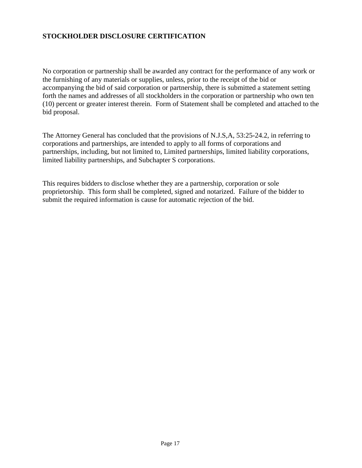## **STOCKHOLDER DISCLOSURE CERTIFICATION**

No corporation or partnership shall be awarded any contract for the performance of any work or the furnishing of any materials or supplies, unless, prior to the receipt of the bid or accompanying the bid of said corporation or partnership, there is submitted a statement setting forth the names and addresses of all stockholders in the corporation or partnership who own ten (10) percent or greater interest therein. Form of Statement shall be completed and attached to the bid proposal.

The Attorney General has concluded that the provisions of N.J.S,A, 53:25-24.2, in referring to corporations and partnerships, are intended to apply to all forms of corporations and partnerships, including, but not limited to, Limited partnerships, limited liability corporations, limited liability partnerships, and Subchapter S corporations.

This requires bidders to disclose whether they are a partnership, corporation or sole proprietorship. This form shall be completed, signed and notarized. Failure of the bidder to submit the required information is cause for automatic rejection of the bid.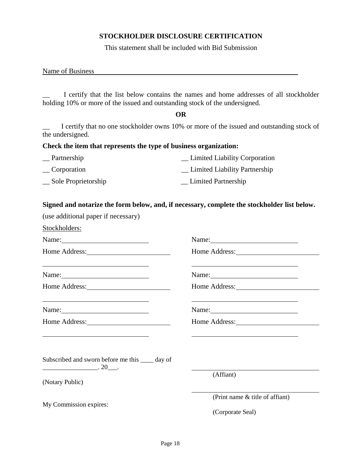#### **STOCKHOLDER DISCLOSURE CERTIFICATION**

This statement shall be included with Bid Submission

#### Name of Business

I certify that the list below contains the names and home addresses of all stockholder holding 10% or more of the issued and outstanding stock of the undersigned.

#### **OR**

I certify that no one stockholder owns 10% or more of the issued and outstanding stock of the undersigned.

#### **Check the item that represents the type of business organization:**

| Partnership         | <b>Limited Liability Corporation</b> |
|---------------------|--------------------------------------|
| _Corporation        | Limited Liability Partnership        |
| Sole Proprietorship | Limited Partnership                  |

#### **Signed and notarize the form below, and, if necessary, complete the stockholder list below.**

| (use additional paper if necessary)                                                                                                    |                                                                                                                                                                                                                                                     |
|----------------------------------------------------------------------------------------------------------------------------------------|-----------------------------------------------------------------------------------------------------------------------------------------------------------------------------------------------------------------------------------------------------|
| Stockholders:                                                                                                                          |                                                                                                                                                                                                                                                     |
|                                                                                                                                        | Name: $\frac{1}{\sqrt{1-\frac{1}{2}} \cdot \frac{1}{2}}$                                                                                                                                                                                            |
| Home Address: 2008                                                                                                                     |                                                                                                                                                                                                                                                     |
| <u> 1989 - Johann Stein, Amerikaansk politiker (* 1908)</u>                                                                            |                                                                                                                                                                                                                                                     |
|                                                                                                                                        | Home Address: No. 1996                                                                                                                                                                                                                              |
| Name: $\frac{1}{2}$ Name:                                                                                                              | Name: $\frac{1}{2}$ Name:                                                                                                                                                                                                                           |
| <u> Louis Communication (Communication Communication Communication Communication Communication Communication Com</u>                   | Home Address: 2000<br>the control of the control of the control of the control of the control of the control of the control of the control of the control of the control of the control of the control of the control of the control of the control |
| Subscribed and sworn before me this _____ day of<br>$\overline{\phantom{a}20\phantom{a}}$ . 20 $\overline{\phantom{a}20\phantom{a}}$ . |                                                                                                                                                                                                                                                     |
| (Notary Public)                                                                                                                        | (Affiant)                                                                                                                                                                                                                                           |
| My Commission expires:                                                                                                                 | (Print name & title of affiant)                                                                                                                                                                                                                     |
|                                                                                                                                        | (Corporate Seal)                                                                                                                                                                                                                                    |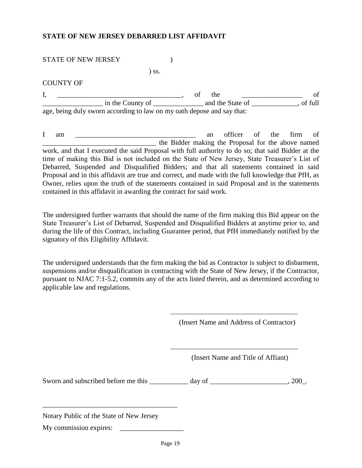#### **STATE OF NEW JERSEY DEBARRED LIST AFFIDAVIT**

| <b>STATE OF NEW JERSEY</b>                                             |     |           |         |
|------------------------------------------------------------------------|-----|-----------|---------|
|                                                                        | ss. |           |         |
| <b>COUNTY OF</b>                                                       |     |           |         |
|                                                                        |     | the<br>οf | of      |
|                                                                        |     |           | of full |
| age, being duly sworn according to law on my oath depose and say that: |     |           |         |
|                                                                        |     |           |         |

I am  $\frac{1}{\sqrt{1-\frac{1}{\sqrt{1-\frac{1}{\sqrt{1-\frac{1}{\sqrt{1-\frac{1}{\sqrt{1-\frac{1}{\sqrt{1-\frac{1}{\sqrt{1-\frac{1}{\sqrt{1-\frac{1}{\sqrt{1-\frac{1}{\sqrt{1-\frac{1}{\sqrt{1-\frac{1}{\sqrt{1-\frac{1}{\sqrt{1-\frac{1}{\sqrt{1-\frac{1}{\sqrt{1-\frac{1}{\sqrt{1-\frac{1}{\sqrt{1-\frac{1}{\sqrt{1-\frac{1}{\sqrt{1-\frac{1}{\sqrt{1-\frac{1}{\sqrt{1-\frac{1}{\sqrt{1-\frac{1}{\sqrt{1-\frac{1}{\sqrt{1$ \_\_\_\_\_\_\_\_\_\_\_\_\_\_\_\_\_\_\_\_\_\_\_\_\_\_\_\_\_\_\_\_ the Bidder making the Proposal for the above named work, and that I executed the said Proposal with full authority to do so; that said Bidder at the time of making this Bid is not included on the State of New Jersey, State Treasurer's List of Debarred, Suspended and Disqualified Bidders; and that all statements contained in said Proposal and in this affidavit are true and correct, and made with the full knowledge that PfH, as Owner, relies upon the truth of the statements contained in said Proposal and in the statements contained in this affidavit in awarding the contract for said work.

The undersigned further warrants that should the name of the firm making this Bid appear on the State Treasurer's List of Debarred, Suspended and Disqualified Bidders at anytime prior to, and during the life of this Contract, including Guarantee period, that PfH immediately notified by the signatory of this Eligibility Affidavit.

The undersigned understands that the firm making the bid as Contractor is subject to disbarment, suspensions and/or disqualification in contracting with the State of New Jersey, if the Contractor, pursuant to NJAC 7:1-5.2, commits any of the acts listed therein, and as determined according to applicable law and regulations.

(Insert Name and Address of Contractor)

(Insert Name and Title of Affiant)

Sworn and subscribed before me this \_\_\_\_\_\_\_\_\_ day of \_\_\_\_\_\_\_\_\_\_\_\_\_\_\_\_\_\_\_, 200\_.

Notary Public of the State of New Jersey

\_\_\_\_\_\_\_\_\_\_\_\_\_\_\_\_\_\_\_\_\_\_\_\_\_\_\_\_\_\_\_\_\_\_\_\_\_\_

My commission expires: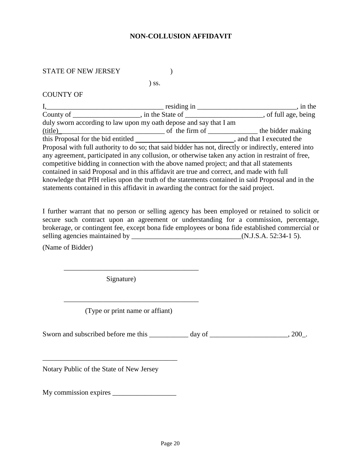#### **NON-COLLUSION AFFIDAVIT**

### STATE OF NEW JERSEY (1998)

) ss.

COUNTY OF

|         | residing in _____                                                                                     | $\cdot$ in the |
|---------|-------------------------------------------------------------------------------------------------------|----------------|
|         |                                                                                                       |                |
|         | duly sworn according to law upon my oath depose and say that I am                                     |                |
| (title) | of the firm of the bidder making                                                                      |                |
|         |                                                                                                       |                |
|         | Proposal with full authority to do so; that said bidder has not, directly or indirectly, entered into |                |
|         | any agreement, participated in any collusion, or otherwise taken any action in restraint of free,     |                |
|         | competitive bidding in connection with the above named project; and that all statements               |                |
|         | contained in said Proposal and in this affidavit are true and correct, and made with full             |                |
|         | knowledge that PfH relies upon the truth of the statements contained in said Proposal and in the      |                |
|         | statements contained in this affidavit in awarding the contract for the said project.                 |                |

I further warrant that no person or selling agency has been employed or retained to solicit or secure such contract upon an agreement or understanding for a commission, percentage, brokerage, or contingent fee, except bona fide employees or bona fide established commercial or selling agencies maintained by \_\_\_\_\_\_\_\_\_\_\_\_\_\_\_\_\_\_\_\_\_\_\_\_\_\_\_\_\_\_\_(N.J.S.A. 52:34-1 5).

(Name of Bidder)

Signature)

(Type or print name or affiant)

\_\_\_\_\_\_\_\_\_\_\_\_\_\_\_\_\_\_\_\_\_\_\_\_\_\_\_\_\_\_\_\_\_\_\_\_\_\_

\_\_\_\_\_\_\_\_\_\_\_\_\_\_\_\_\_\_\_\_\_\_\_\_\_\_\_\_\_\_\_\_\_\_\_\_\_\_

Sworn and subscribed before me this \_\_\_\_\_\_\_\_\_\_\_ day of \_\_\_\_\_\_\_\_\_\_\_\_\_\_\_\_\_\_\_, 200\_.

Notary Public of the State of New Jersey

My commission expires \_\_\_\_\_\_\_\_\_\_\_\_\_\_\_\_\_\_

\_\_\_\_\_\_\_\_\_\_\_\_\_\_\_\_\_\_\_\_\_\_\_\_\_\_\_\_\_\_\_\_\_\_\_\_\_\_